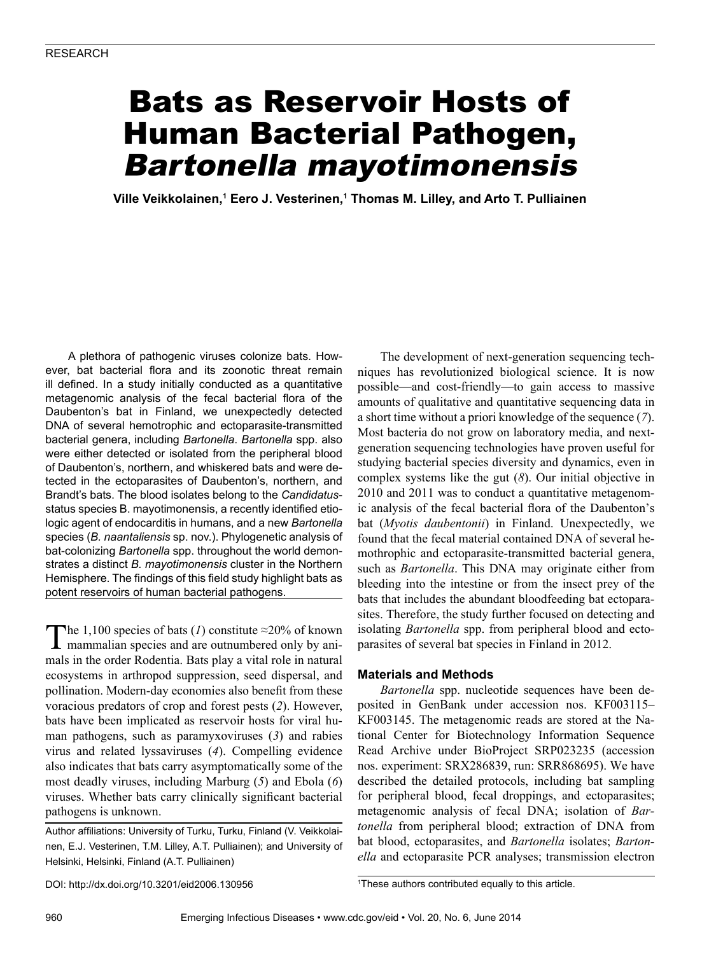# Bats as Reservoir Hosts of Human Bacterial Pathogen, Bartonella mayotimonensis

**Ville Veikkolainen,1 Eero J. Vesterinen,1 Thomas M. Lilley, and Arto T. Pulliainen**

A plethora of pathogenic viruses colonize bats. However, bat bacterial flora and its zoonotic threat remain ill defined. In a study initially conducted as a quantitative metagenomic analysis of the fecal bacterial flora of the Daubenton's bat in Finland, we unexpectedly detected DNA of several hemotrophic and ectoparasite-transmitted bacterial genera, including *Bartonella*. *Bartonella* spp. also were either detected or isolated from the peripheral blood of Daubenton's, northern, and whiskered bats and were detected in the ectoparasites of Daubenton's, northern, and Brandt's bats. The blood isolates belong to the *Candidatus*status species B. mayotimonensis, a recently identified etiologic agent of endocarditis in humans, and a new *Bartonella* species (*B. naantaliensis* sp. nov.). Phylogenetic analysis of bat-colonizing *Bartonella* spp. throughout the world demonstrates a distinct *B. mayotimonensis* cluster in the Northern Hemisphere. The findings of this field study highlight bats as potent reservoirs of human bacterial pathogens.

The 1,100 species of bats (*1*) constitute  $\approx$ 20% of known mammalian species and are outnumbered only by animals in the order Rodentia. Bats play a vital role in natural ecosystems in arthropod suppression, seed dispersal, and pollination. Modern-day economies also benefit from these voracious predators of crop and forest pests (*2*). However, bats have been implicated as reservoir hosts for viral human pathogens, such as paramyxoviruses (*3*) and rabies virus and related lyssaviruses (*4*). Compelling evidence also indicates that bats carry asymptomatically some of the most deadly viruses, including Marburg (*5*) and Ebola (*6*) viruses. Whether bats carry clinically significant bacterial pathogens is unknown.

Author affiliations: University of Turku, Turku, Finland (V. Veikkolainen, E.J. Vesterinen, T.M. Lilley, A.T. Pulliainen); and University of Helsinki, Helsinki, Finland (A.T. Pulliainen)

The development of next-generation sequencing techniques has revolutionized biological science. It is now possible—and cost-friendly—to gain access to massive amounts of qualitative and quantitative sequencing data in a short time without a priori knowledge of the sequence (*7*). Most bacteria do not grow on laboratory media, and nextgeneration sequencing technologies have proven useful for studying bacterial species diversity and dynamics, even in complex systems like the gut (*8*). Our initial objective in 2010 and 2011 was to conduct a quantitative metagenomic analysis of the fecal bacterial flora of the Daubenton's bat (*Myotis daubentonii*) in Finland. Unexpectedly, we found that the fecal material contained DNA of several hemothrophic and ectoparasite-transmitted bacterial genera, such as *Bartonella*. This DNA may originate either from bleeding into the intestine or from the insect prey of the bats that includes the abundant bloodfeeding bat ectoparasites. Therefore, the study further focused on detecting and isolating *Bartonella* spp. from peripheral blood and ectoparasites of several bat species in Finland in 2012.

## **Materials and Methods**

*Bartonella* spp. nucleotide sequences have been deposited in GenBank under accession nos. KF003115– KF003145. The metagenomic reads are stored at the National Center for Biotechnology Information Sequence Read Archive under BioProject SRP023235 (accession nos. experiment: SRX286839, run: SRR868695). We have described the detailed protocols, including bat sampling for peripheral blood, fecal droppings, and ectoparasites; metagenomic analysis of fecal DNA; isolation of *Bartonella* from peripheral blood; extraction of DNA from bat blood, ectoparasites, and *Bartonella* isolates; *Bartonella* and ectoparasite PCR analyses; transmission electron

DOI: http://dx.doi.org/10.3201/eid2006.130956 <sup>1</sup>

<sup>&</sup>lt;sup>1</sup>These authors contributed equally to this article.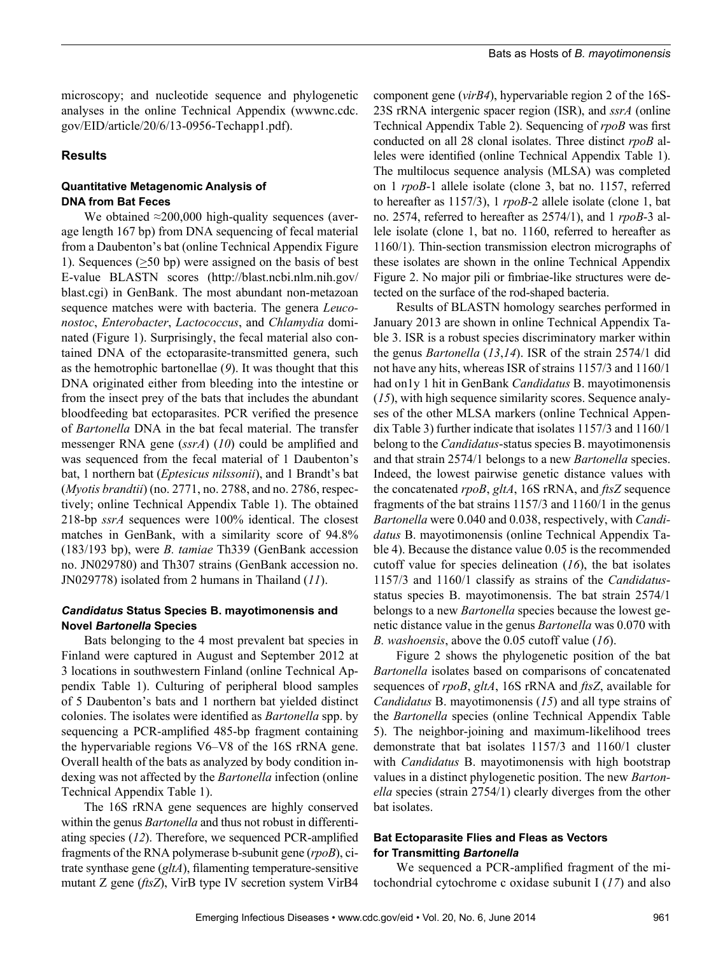microscopy; and nucleotide sequence and phylogenetic analyses in the online Technical Appendix (wwwnc.cdc. gov/EID/article/20/6/13-0956-Techapp1.pdf).

#### **Results**

## **Quantitative Metagenomic Analysis of DNA from Bat Feces**

We obtained  $\approx$ 200,000 high-quality sequences (average length 167 bp) from DNA sequencing of fecal material from a Daubenton's bat (online Technical Appendix Figure 1). Sequences  $( \geq 50$  bp) were assigned on the basis of best E-value BLASTN scores (http://blast.ncbi.nlm.nih.gov/ blast.cgi) in GenBank. The most abundant non-metazoan sequence matches were with bacteria. The genera *Leuconostoc*, *Enterobacter*, *Lactococcus*, and *Chlamydia* dominated (Figure 1). Surprisingly, the fecal material also contained DNA of the ectoparasite-transmitted genera, such as the hemotrophic bartonellae (*9*). It was thought that this DNA originated either from bleeding into the intestine or from the insect prey of the bats that includes the abundant bloodfeeding bat ectoparasites. PCR verified the presence of *Bartonella* DNA in the bat fecal material. The transfer messenger RNA gene (*ssrA*) (*10*) could be amplified and was sequenced from the fecal material of 1 Daubenton's bat, 1 northern bat (*Eptesicus nilssonii*), and 1 Brandt's bat (*Myotis brandtii*) (no. 2771, no. 2788, and no. 2786, respectively; online Technical Appendix Table 1). The obtained 218-bp *ssrA* sequences were 100% identical. The closest matches in GenBank, with a similarity score of 94.8% (183/193 bp), were *B. tamiae* Th339 (GenBank accession no. JN029780) and Th307 strains (GenBank accession no. JN029778) isolated from 2 humans in Thailand (*11*).

#### *Candidatus* **Status Species B. mayotimonensis and Novel** *Bartonella* **Species**

Bats belonging to the 4 most prevalent bat species in Finland were captured in August and September 2012 at 3 locations in southwestern Finland (online Technical Appendix Table 1). Culturing of peripheral blood samples of 5 Daubenton's bats and 1 northern bat yielded distinct colonies. The isolates were identified as *Bartonella* spp. by sequencing a PCR-amplified 485-bp fragment containing the hypervariable regions V6–V8 of the 16S rRNA gene. Overall health of the bats as analyzed by body condition indexing was not affected by the *Bartonella* infection (online Technical Appendix Table 1).

The 16S rRNA gene sequences are highly conserved within the genus *Bartonella* and thus not robust in differentiating species (*12*). Therefore, we sequenced PCR-amplified fragments of the RNA polymerase b-subunit gene (*rpoB*), citrate synthase gene (*gltA*), filamenting temperature-sensitive mutant Z gene (*ftsZ*), VirB type IV secretion system VirB4

component gene (*virB4*), hypervariable region 2 of the 16S-23S rRNA intergenic spacer region (ISR), and *ssrA* (online Technical Appendix Table 2). Sequencing of *rpoB* was first conducted on all 28 clonal isolates. Three distinct *rpoB* alleles were identified (online Technical Appendix Table 1). The multilocus sequence analysis (MLSA) was completed on 1 *rpoB*-1 allele isolate (clone 3, bat no. 1157, referred to hereafter as 1157/3), 1 *rpoB*-2 allele isolate (clone 1, bat no. 2574, referred to hereafter as 2574/1), and 1 *rpoB*-3 allele isolate (clone 1, bat no. 1160, referred to hereafter as 1160/1). Thin-section transmission electron micrographs of these isolates are shown in the online Technical Appendix Figure 2. No major pili or fimbriae-like structures were detected on the surface of the rod-shaped bacteria.

Results of BLASTN homology searches performed in January 2013 are shown in online Technical Appendix Table 3. ISR is a robust species discriminatory marker within the genus *Bartonella* (*13*,*14*). ISR of the strain 2574/1 did not have any hits, whereas ISR of strains 1157/3 and 1160/1 had on1y 1 hit in GenBank *Candidatus* B. mayotimonensis (*15*), with high sequence similarity scores. Sequence analyses of the other MLSA markers (online Technical Appendix Table 3) further indicate that isolates 1157/3 and 1160/1 belong to the *Candidatus*-status species B. mayotimonensis and that strain 2574/1 belongs to a new *Bartonella* species. Indeed, the lowest pairwise genetic distance values with the concatenated *rpoB*, *gltA*, 16S rRNA, and *ftsZ* sequence fragments of the bat strains 1157/3 and 1160/1 in the genus *Bartonella* were 0.040 and 0.038, respectively, with *Candidatus* B. mayotimonensis (online Technical Appendix Table 4). Because the distance value 0.05 is the recommended cutoff value for species delineation (*16*), the bat isolates 1157/3 and 1160/1 classify as strains of the *Candidatus*status species B. mayotimonensis. The bat strain 2574/1 belongs to a new *Bartonella* species because the lowest genetic distance value in the genus *Bartonella* was 0.070 with *B. washoensis*, above the 0.05 cutoff value (*16*).

Figure 2 shows the phylogenetic position of the bat *Bartonella* isolates based on comparisons of concatenated sequences of *rpoB*, *gltA*, 16S rRNA and *ftsZ*, available for *Candidatus* B. mayotimonensis (*15*) and all type strains of the *Bartonella* species (online Technical Appendix Table 5). The neighbor-joining and maximum-likelihood trees demonstrate that bat isolates 1157/3 and 1160/1 cluster with *Candidatus* B. mayotimonensis with high bootstrap values in a distinct phylogenetic position. The new *Bartonella* species (strain 2754/1) clearly diverges from the other bat isolates.

## **Bat Ectoparasite Flies and Fleas as Vectors for Transmitting** *Bartonella*

We sequenced a PCR-amplified fragment of the mitochondrial cytochrome c oxidase subunit I (*17*) and also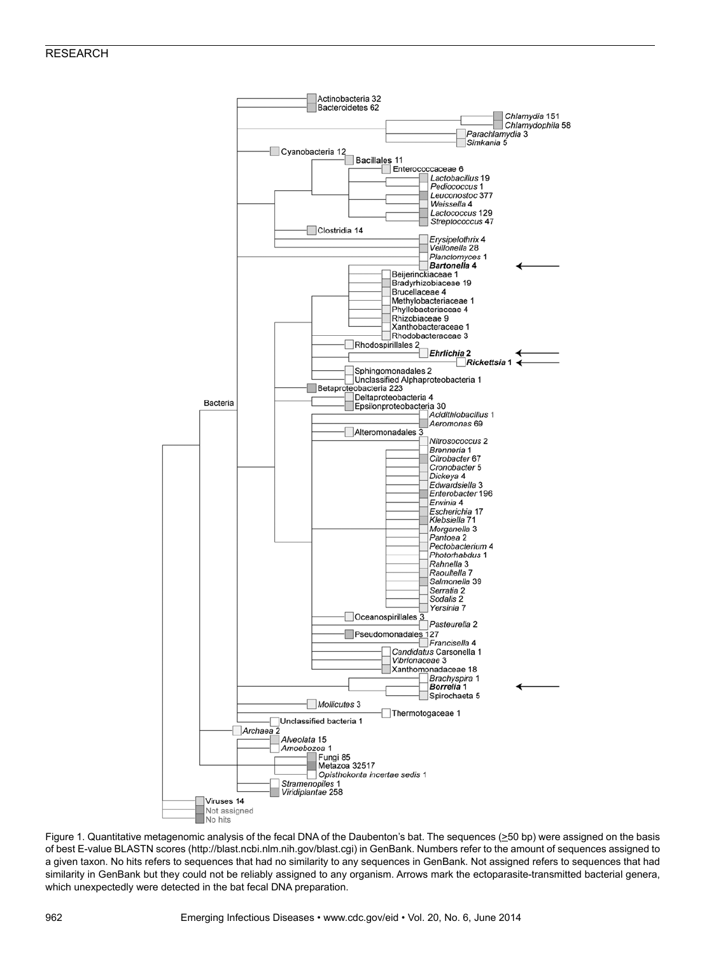#### RESEARCH



Figure 1. Quantitative metagenomic analysis of the fecal DNA of the Daubenton's bat. The sequences (>50 bp) were assigned on the basis of best E-value BLASTN scores (http://blast.ncbi.nlm.nih.gov/blast.cgi) in GenBank. Numbers refer to the amount of sequences assigned to a given taxon. No hits refers to sequences that had no similarity to any sequences in GenBank. Not assigned refers to sequences that had similarity in GenBank but they could not be reliably assigned to any organism. Arrows mark the ectoparasite-transmitted bacterial genera, which unexpectedly were detected in the bat fecal DNA preparation.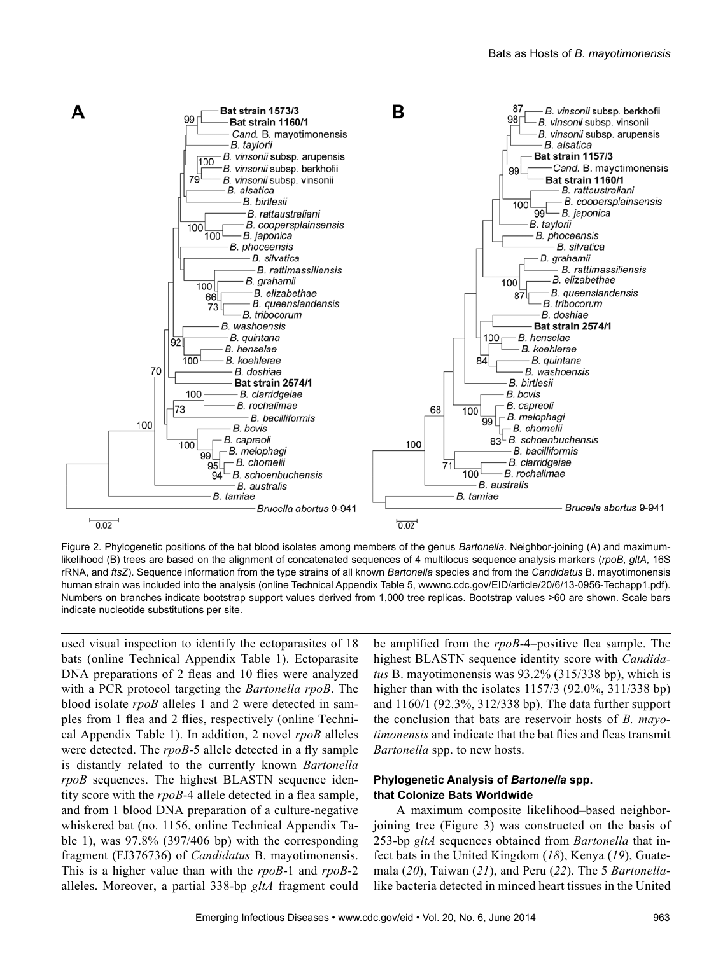

Figure 2. Phylogenetic positions of the bat blood isolates among members of the genus *Bartonella*. Neighbor-joining (A) and maximumlikelihood (B) trees are based on the alignment of concatenated sequences of 4 multilocus sequence analysis markers (*rpoB*, *gltA*, 16S rRNA, and *ftsZ*). Sequence information from the type strains of all known *Bartonella* species and from the *Candidatus* B. mayotimonensis human strain was included into the analysis (online Technical Appendix Table 5, wwwnc.cdc.gov/EID/article/20/6/13-0956-Techapp1.pdf). Numbers on branches indicate bootstrap support values derived from 1,000 tree replicas. Bootstrap values >60 are shown. Scale bars indicate nucleotide substitutions per site.

used visual inspection to identify the ectoparasites of 18 bats (online Technical Appendix Table 1). Ectoparasite DNA preparations of 2 fleas and 10 flies were analyzed with a PCR protocol targeting the *Bartonella rpoB*. The blood isolate *rpoB* alleles 1 and 2 were detected in samples from 1 flea and 2 flies, respectively (online Technical Appendix Table 1). In addition, 2 novel *rpoB* alleles were detected. The *rpoB*-5 allele detected in a fly sample is distantly related to the currently known *Bartonella rpoB* sequences. The highest BLASTN sequence identity score with the *rpoB*-4 allele detected in a flea sample, and from 1 blood DNA preparation of a culture-negative whiskered bat (no. 1156, online Technical Appendix Table 1), was 97.8% (397/406 bp) with the corresponding fragment (FJ376736) of *Candidatus* B. mayotimonensis. This is a higher value than with the *rpoB*-1 and *rpoB*-2 alleles. Moreover, a partial 338-bp *gltA* fragment could

be amplified from the *rpoB*-4–positive flea sample. The highest BLASTN sequence identity score with *Candidatus* B. mayotimonensis was 93.2% (315/338 bp), which is higher than with the isolates 1157/3 (92.0%, 311/338 bp) and 1160/1 (92.3%, 312/338 bp). The data further support the conclusion that bats are reservoir hosts of *B. mayotimonensis* and indicate that the bat flies and fleas transmit *Bartonella* spp. to new hosts.

#### **Phylogenetic Analysis of** *Bartonella* **spp. that Colonize Bats Worldwide**

A maximum composite likelihood–based neighborjoining tree (Figure 3) was constructed on the basis of 253-bp *gltA* sequences obtained from *Bartonella* that infect bats in the United Kingdom (*18*), Kenya (*19*), Guatemala (*20*), Taiwan (*21*), and Peru (*22*). The 5 *Bartonella*like bacteria detected in minced heart tissues in the United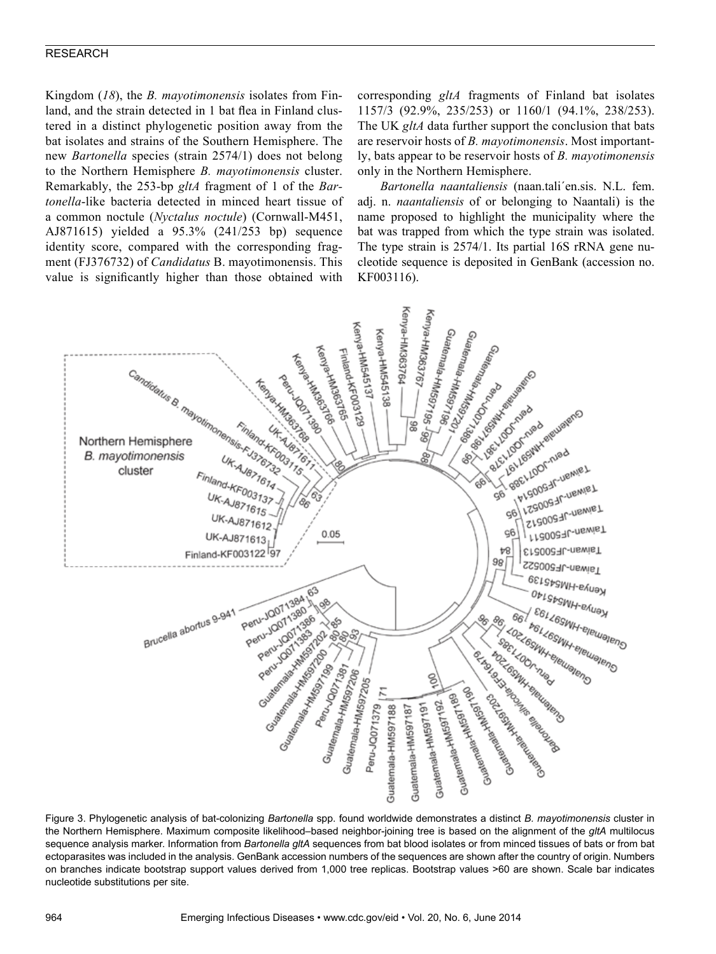#### RESEARCH

Kingdom (*18*), the *B. mayotimonensis* isolates from Finland, and the strain detected in 1 bat flea in Finland clustered in a distinct phylogenetic position away from the bat isolates and strains of the Southern Hemisphere. The new *Bartonella* species (strain 2574/1) does not belong to the Northern Hemisphere *B. mayotimonensis* cluster. Remarkably, the 253-bp *gltA* fragment of 1 of the *Bartonella*-like bacteria detected in minced heart tissue of a common noctule (*Nyctalus noctule*) (Cornwall-M451, AJ871615) yielded a 95.3% (241/253 bp) sequence identity score, compared with the corresponding fragment (FJ376732) of *Candidatus* B. mayotimonensis. This value is significantly higher than those obtained with

corresponding *gltA* fragments of Finland bat isolates 1157/3 (92.9%, 235/253) or 1160/1 (94.1%, 238/253). The UK *gltA* data further support the conclusion that bats are reservoir hosts of *B. mayotimonensis*. Most importantly, bats appear to be reservoir hosts of *B. mayotimonensis* only in the Northern Hemisphere.

*Bartonella naantaliensis* (naan.tali´en.sis. N.L. fem. adj. n. *naantaliensis* of or belonging to Naantali) is the name proposed to highlight the municipality where the bat was trapped from which the type strain was isolated. The type strain is 2574/1. Its partial 16S rRNA gene nucleotide sequence is deposited in GenBank (accession no. KF003116).



Figure 3. Phylogenetic analysis of bat-colonizing *Bartonella* spp. found worldwide demonstrates a distinct *B. mayotimonensis* cluster in the Northern Hemisphere. Maximum composite likelihood–based neighbor-joining tree is based on the alignment of the *gltA* multilocus sequence analysis marker. Information from *Bartonella gltA* sequences from bat blood isolates or from minced tissues of bats or from bat ectoparasites was included in the analysis. GenBank accession numbers of the sequences are shown after the country of origin. Numbers on branches indicate bootstrap support values derived from 1,000 tree replicas. Bootstrap values >60 are shown. Scale bar indicates nucleotide substitutions per site.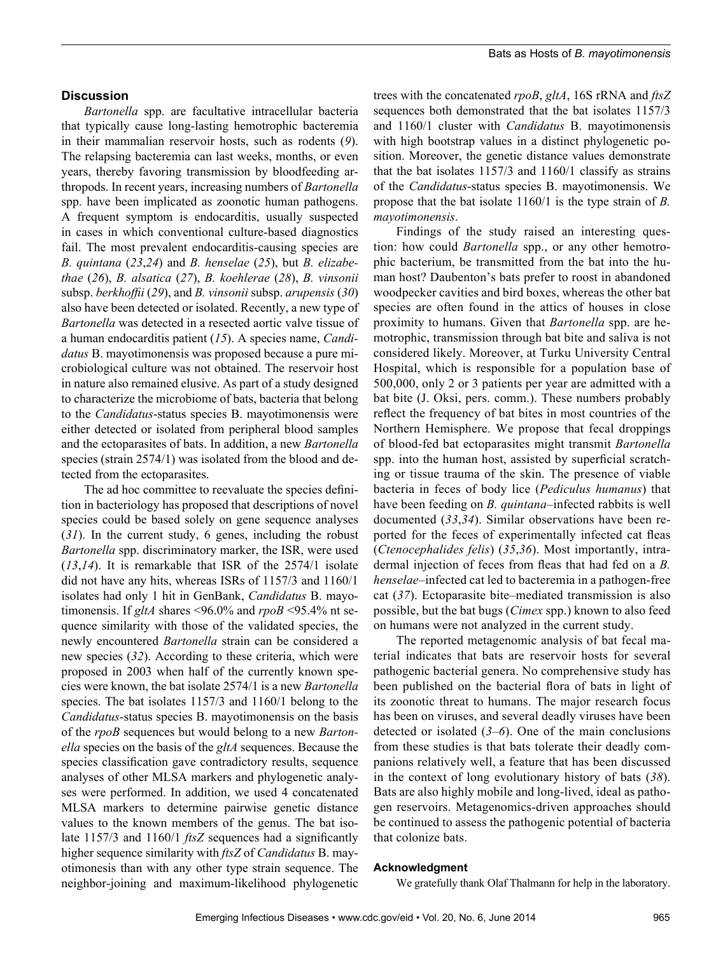## **Discussion**

*Bartonella* spp. are facultative intracellular bacteria that typically cause long-lasting hemotrophic bacteremia in their mammalian reservoir hosts, such as rodents (*9*). The relapsing bacteremia can last weeks, months, or even years, thereby favoring transmission by bloodfeeding arthropods. In recent years, increasing numbers of *Bartonella* spp. have been implicated as zoonotic human pathogens. A frequent symptom is endocarditis, usually suspected in cases in which conventional culture-based diagnostics fail. The most prevalent endocarditis-causing species are *B. quintana* (*23*,*24*) and *B. henselae* (*25*), but *B. elizabethae* (*26*), *B. alsatica* (*27*), *B. koehlerae* (*28*), *B. vinsonii* subsp. *berkhoffii* (*29*), and *B. vinsonii* subsp. *arupensis* (*30*) also have been detected or isolated. Recently, a new type of *Bartonella* was detected in a resected aortic valve tissue of a human endocarditis patient (*15*). A species name, *Candidatus* B. mayotimonensis was proposed because a pure microbiological culture was not obtained. The reservoir host in nature also remained elusive. As part of a study designed to characterize the microbiome of bats, bacteria that belong to the *Candidatus*-status species B. mayotimonensis were either detected or isolated from peripheral blood samples and the ectoparasites of bats. In addition, a new *Bartonella* species (strain 2574/1) was isolated from the blood and detected from the ectoparasites.

The ad hoc committee to reevaluate the species definition in bacteriology has proposed that descriptions of novel species could be based solely on gene sequence analyses (*31*). In the current study, 6 genes, including the robust *Bartonella* spp. discriminatory marker, the ISR, were used (*13*,*14*). It is remarkable that ISR of the 2574/1 isolate did not have any hits, whereas ISRs of 1157/3 and 1160/1 isolates had only 1 hit in GenBank, *Candidatus* B. mayotimonensis. If *gltA* shares <96.0% and *rpoB* <95.4% nt sequence similarity with those of the validated species, the newly encountered *Bartonella* strain can be considered a new species (*32*). According to these criteria, which were proposed in 2003 when half of the currently known species were known, the bat isolate 2574/1 is a new *Bartonella* species. The bat isolates 1157/3 and 1160/1 belong to the *Candidatus*-status species B. mayotimonensis on the basis of the *rpoB* sequences but would belong to a new *Bartonella* species on the basis of the *gltA* sequences. Because the species classification gave contradictory results, sequence analyses of other MLSA markers and phylogenetic analyses were performed. In addition, we used 4 concatenated MLSA markers to determine pairwise genetic distance values to the known members of the genus. The bat isolate 1157/3 and 1160/1 *ftsZ* sequences had a significantly higher sequence similarity with *ftsZ* of *Candidatus* B. mayotimonesis than with any other type strain sequence. The neighbor-joining and maximum-likelihood phylogenetic

trees with the concatenated *rpoB*, *gltA*, 16S rRNA and *ftsZ* sequences both demonstrated that the bat isolates 1157/3 and 1160/1 cluster with *Candidatus* B. mayotimonensis with high bootstrap values in a distinct phylogenetic position. Moreover, the genetic distance values demonstrate that the bat isolates 1157/3 and 1160/1 classify as strains of the *Candidatus*-status species B. mayotimonensis. We propose that the bat isolate 1160/1 is the type strain of *B. mayotimonensis*.

Findings of the study raised an interesting question: how could *Bartonella* spp., or any other hemotrophic bacterium, be transmitted from the bat into the human host? Daubenton's bats prefer to roost in abandoned woodpecker cavities and bird boxes, whereas the other bat species are often found in the attics of houses in close proximity to humans. Given that *Bartonella* spp. are hemotrophic, transmission through bat bite and saliva is not considered likely. Moreover, at Turku University Central Hospital, which is responsible for a population base of 500,000, only 2 or 3 patients per year are admitted with a bat bite (J. Oksi, pers. comm.). These numbers probably reflect the frequency of bat bites in most countries of the Northern Hemisphere. We propose that fecal droppings of blood-fed bat ectoparasites might transmit *Bartonella* spp. into the human host, assisted by superficial scratching or tissue trauma of the skin. The presence of viable bacteria in feces of body lice (*Pediculus humanus*) that have been feeding on *B. quintana*–infected rabbits is well documented (*33*,*34*). Similar observations have been reported for the feces of experimentally infected cat fleas (*Ctenocephalides felis*) (*35*,*36*). Most importantly, intradermal injection of feces from fleas that had fed on a *B. henselae*–infected cat led to bacteremia in a pathogen-free cat (*37*). Ectoparasite bite–mediated transmission is also possible, but the bat bugs (*Cimex* spp.) known to also feed on humans were not analyzed in the current study.

The reported metagenomic analysis of bat fecal material indicates that bats are reservoir hosts for several pathogenic bacterial genera. No comprehensive study has been published on the bacterial flora of bats in light of its zoonotic threat to humans. The major research focus has been on viruses, and several deadly viruses have been detected or isolated (*3*–*6*). One of the main conclusions from these studies is that bats tolerate their deadly companions relatively well, a feature that has been discussed in the context of long evolutionary history of bats (*38*). Bats are also highly mobile and long-lived, ideal as pathogen reservoirs. Metagenomics-driven approaches should be continued to assess the pathogenic potential of bacteria that colonize bats.

#### **Acknowledgment**

We gratefully thank Olaf Thalmann for help in the laboratory.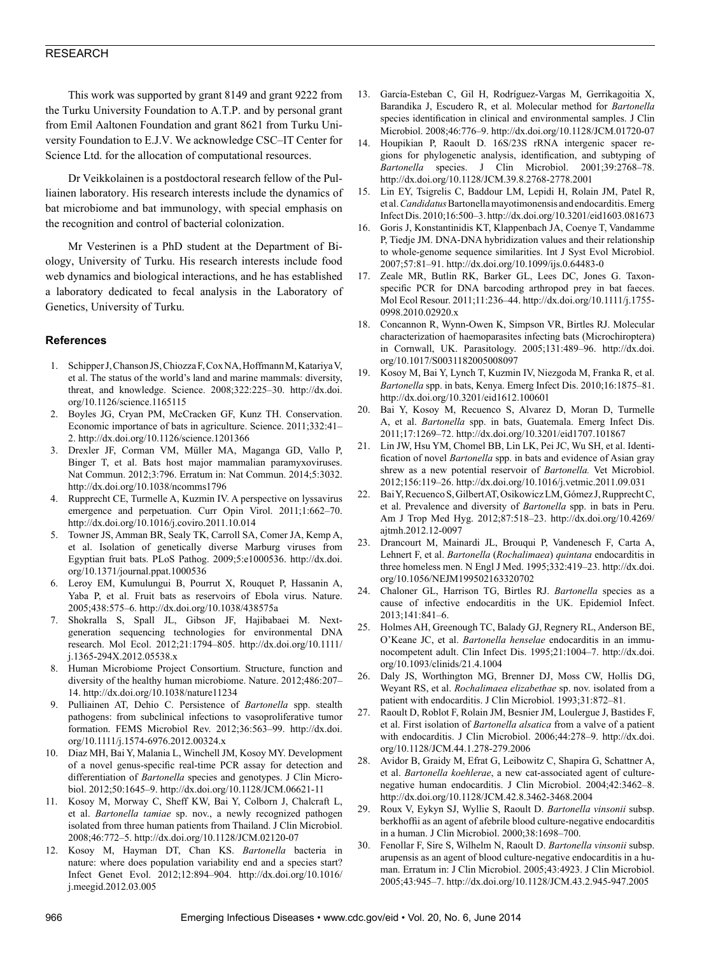#### RESEARCH

This work was supported by grant 8149 and grant 9222 from the Turku University Foundation to A.T.P. and by personal grant from Emil Aaltonen Foundation and grant 8621 from Turku University Foundation to E.J.V. We acknowledge CSC–IT Center for Science Ltd. for the allocation of computational resources.

Dr Veikkolainen is a postdoctoral research fellow of the Pulliainen laboratory. His research interests include the dynamics of bat microbiome and bat immunology, with special emphasis on the recognition and control of bacterial colonization.

Mr Vesterinen is a PhD student at the Department of Biology, University of Turku. His research interests include food web dynamics and biological interactions, and he has established a laboratory dedicated to fecal analysis in the Laboratory of Genetics, University of Turku.

#### **References**

- 1. Schipper J, Chanson JS, Chiozza F, Cox NA, Hoffmann M, Katariya V, et al. The status of the world's land and marine mammals: diversity, threat, and knowledge. Science. 2008;322:225–30. http://dx.doi. org/10.1126/science.1165115
- 2. Boyles JG, Cryan PM, McCracken GF, Kunz TH. Conservation. Economic importance of bats in agriculture. Science. 2011;332:41– 2. http://dx.doi.org/10.1126/science.1201366
- 3. Drexler JF, Corman VM, Müller MA, Maganga GD, Vallo P, Binger T, et al. Bats host major mammalian paramyxoviruses. Nat Commun. 2012;3:796. Erratum in: Nat Commun. 2014;5:3032. http://dx.doi.org/10.1038/ncomms1796
- 4. Rupprecht CE, Turmelle A, Kuzmin IV. A perspective on lyssavirus emergence and perpetuation. Curr Opin Virol. 2011;1:662–70. http://dx.doi.org/10.1016/j.coviro.2011.10.014
- 5. Towner JS, Amman BR, Sealy TK, Carroll SA, Comer JA, Kemp A, et al. Isolation of genetically diverse Marburg viruses from Egyptian fruit bats. PLoS Pathog. 2009;5:e1000536. http://dx.doi. org/10.1371/journal.ppat.1000536
- 6. Leroy EM, Kumulungui B, Pourrut X, Rouquet P, Hassanin A, Yaba P, et al. Fruit bats as reservoirs of Ebola virus. Nature. 2005;438:575–6. http://dx.doi.org/10.1038/438575a
- 7. Shokralla S, Spall JL, Gibson JF, Hajibabaei M. Nextgeneration sequencing technologies for environmental DNA research. Mol Ecol. 2012;21:1794–805. http://dx.doi.org/10.1111/ j.1365-294X.2012.05538.x
- 8. Human Microbiome Project Consortium. Structure, function and diversity of the healthy human microbiome. Nature. 2012;486:207– 14. http://dx.doi.org/10.1038/nature11234
- 9. Pulliainen AT, Dehio C. Persistence of *Bartonella* spp. stealth pathogens: from subclinical infections to vasoproliferative tumor formation. FEMS Microbiol Rev. 2012;36:563–99. http://dx.doi. org/10.1111/j.1574-6976.2012.00324.x
- 10. Diaz MH, Bai Y, Malania L, Winchell JM, Kosoy MY. Development of a novel genus-specific real-time PCR assay for detection and differentiation of *Bartonella* species and genotypes. J Clin Microbiol. 2012;50:1645–9. http://dx.doi.org/10.1128/JCM.06621-11
- 11. Kosoy M, Morway C, Sheff KW, Bai Y, Colborn J, Chalcraft L, et al. *Bartonella tamiae* sp. nov., a newly recognized pathogen isolated from three human patients from Thailand. J Clin Microbiol. 2008;46:772–5. http://dx.doi.org/10.1128/JCM.02120-07
- 12. Kosoy M, Hayman DT, Chan KS. *Bartonella* bacteria in nature: where does population variability end and a species start? Infect Genet Evol. 2012;12:894–904. http://dx.doi.org/10.1016/ j.meegid.2012.03.005
- 13. García-Esteban C, Gil H, Rodríguez-Vargas M, Gerrikagoitia X, Barandika J, Escudero R, et al. Molecular method for *Bartonella* species identification in clinical and environmental samples. J Clin Microbiol. 2008;46:776–9. http://dx.doi.org/10.1128/JCM.01720-07
- Houpikian P, Raoult D. 16S/23S rRNA intergenic spacer regions for phylogenetic analysis, identification, and subtyping of *Bartonella* species. J Clin Microbiol. 2001;39:2768–78. http://dx.doi.org/10.1128/JCM.39.8.2768-2778.2001
- 15. Lin EY, Tsigrelis C, Baddour LM, Lepidi H, Rolain JM, Patel R, et al. *Candidatus* Bartonella mayotimonensis and endocarditis. Emerg Infect Dis. 2010;16:500–3. http://dx.doi.org/10.3201/eid1603.081673
- 16. Goris J, Konstantinidis KT, Klappenbach JA, Coenye T, Vandamme P, Tiedje JM. DNA-DNA hybridization values and their relationship to whole-genome sequence similarities. Int J Syst Evol Microbiol. 2007;57:81–91. http://dx.doi.org/10.1099/ijs.0.64483-0
- 17. Zeale MR, Butlin RK, Barker GL, Lees DC, Jones G. Taxonspecific PCR for DNA barcoding arthropod prey in bat faeces. Mol Ecol Resour. 2011;11:236–44. http://dx.doi.org/10.1111/j.1755- 0998.2010.02920.x
- 18. Concannon R, Wynn-Owen K, Simpson VR, Birtles RJ. Molecular characterization of haemoparasites infecting bats (Microchiroptera) in Cornwall, UK. Parasitology. 2005;131:489–96. http://dx.doi. org/10.1017/S0031182005008097
- 19. Kosoy M, Bai Y, Lynch T, Kuzmin IV, Niezgoda M, Franka R, et al. *Bartonella* spp. in bats, Kenya. Emerg Infect Dis. 2010;16:1875–81. http://dx.doi.org/10.3201/eid1612.100601
- 20. Bai Y, Kosoy M, Recuenco S, Alvarez D, Moran D, Turmelle A, et al. *Bartonella* spp. in bats, Guatemala. Emerg Infect Dis. 2011;17:1269–72. http://dx.doi.org/10.3201/eid1707.101867
- 21. Lin JW, Hsu YM, Chomel BB, Lin LK, Pei JC, Wu SH, et al. Identification of novel *Bartonella* spp. in bats and evidence of Asian gray shrew as a new potential reservoir of *Bartonella.* Vet Microbiol. 2012;156:119–26. http://dx.doi.org/10.1016/j.vetmic.2011.09.031
- 22. Bai Y, Recuenco S, Gilbert AT, Osikowicz LM, Gómez J, Rupprecht C, et al. Prevalence and diversity of *Bartonella* spp. in bats in Peru. Am J Trop Med Hyg. 2012;87:518–23. http://dx.doi.org/10.4269/ ajtmh.2012.12-0097
- 23. Drancourt M, Mainardi JL, Brouqui P, Vandenesch F, Carta A, Lehnert F, et al. *Bartonella* (*Rochalimaea*) *quintana* endocarditis in three homeless men. N Engl J Med. 1995;332:419–23. http://dx.doi. org/10.1056/NEJM199502163320702
- 24. Chaloner GL, Harrison TG, Birtles RJ. *Bartonella* species as a cause of infective endocarditis in the UK. Epidemiol Infect. 2013;141:841–6.
- 25. Holmes AH, Greenough TC, Balady GJ, Regnery RL, Anderson BE, O'Keane JC, et al. *Bartonella henselae* endocarditis in an immunocompetent adult. Clin Infect Dis. 1995;21:1004–7. http://dx.doi. org/10.1093/clinids/21.4.1004
- 26. Daly JS, Worthington MG, Brenner DJ, Moss CW, Hollis DG, Weyant RS, et al. *Rochalimaea elizabethae* sp. nov. isolated from a patient with endocarditis. J Clin Microbiol. 1993;31:872–81.
- 27. Raoult D, Roblot F, Rolain JM, Besnier JM, Loulergue J, Bastides F, et al. First isolation of *Bartonella alsatica* from a valve of a patient with endocarditis. J Clin Microbiol. 2006;44:278–9. http://dx.doi. org/10.1128/JCM.44.1.278-279.2006
- 28. Avidor B, Graidy M, Efrat G, Leibowitz C, Shapira G, Schattner A, et al. *Bartonella koehlerae*, a new cat-associated agent of culturenegative human endocarditis. J Clin Microbiol. 2004;42:3462–8. http://dx.doi.org/10.1128/JCM.42.8.3462-3468.2004
- 29. Roux V, Eykyn SJ, Wyllie S, Raoult D. *Bartonella vinsonii* subsp. berkhoffii as an agent of afebrile blood culture-negative endocarditis in a human. J Clin Microbiol. 2000;38:1698–700.
- 30. Fenollar F, Sire S, Wilhelm N, Raoult D. *Bartonella vinsonii* subsp. arupensis as an agent of blood culture-negative endocarditis in a human. Erratum in: J Clin Microbiol. 2005;43:4923. J Clin Microbiol. 2005;43:945–7. http://dx.doi.org/10.1128/JCM.43.2.945-947.2005